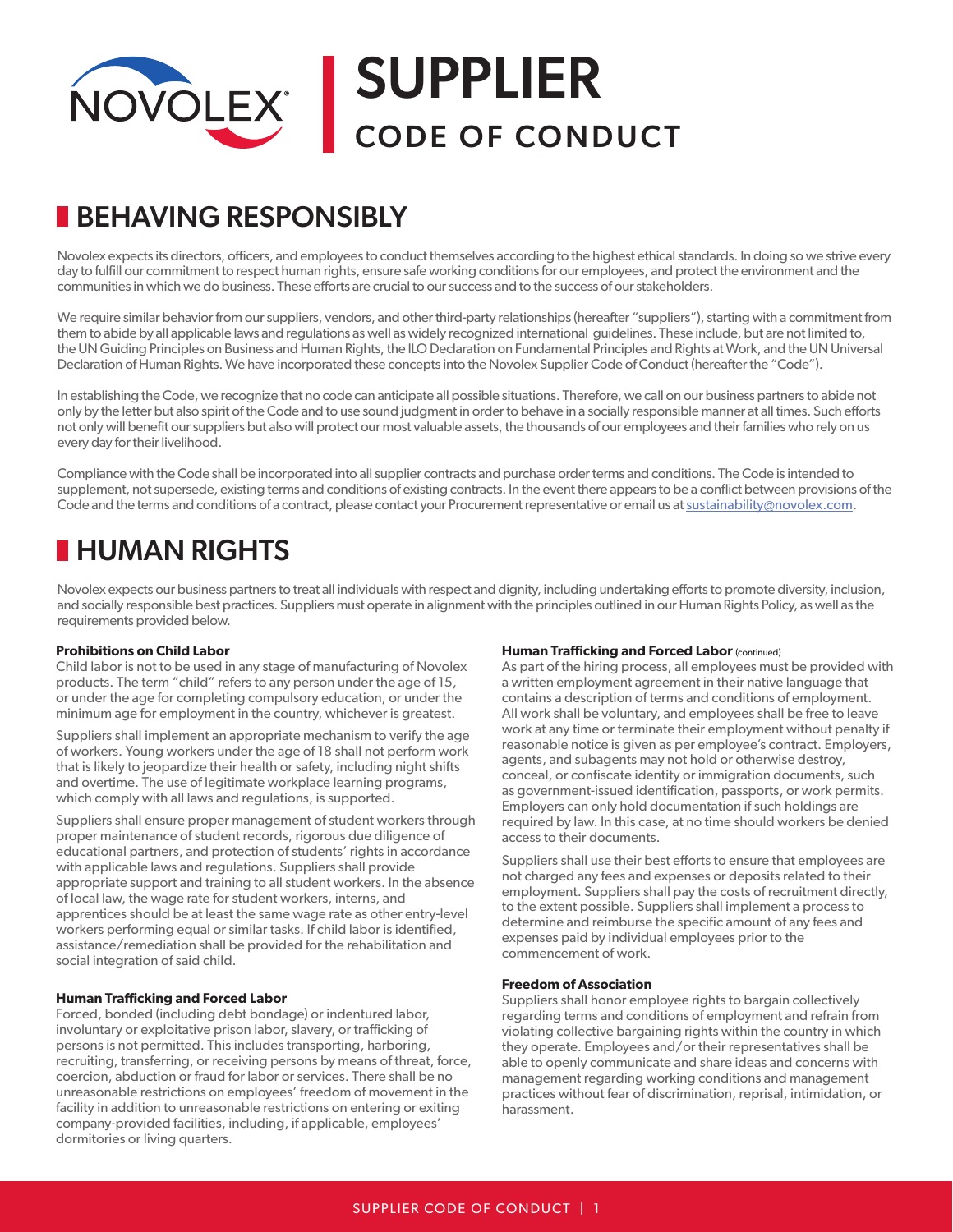

# BEHAVING RESPONSIBLY

Novolex expects its directors, officers, and employees to conduct themselves according to the highest ethical standards. In doing so we strive every day to fulfill our commitment to respect human rights, ensure safe working conditions for our employees, and protect the environment and the communities in which we do business. These efforts are crucial to our success and to the success of our stakeholders.

We require similar behavior from our suppliers, vendors, and other third-party relationships (hereafter "suppliers"), starting with a commitment from them to abide by all applicable laws and regulations as well as widely recognized international guidelines. These include, but are not limited to, the UN Guiding Principles on Business and Human Rights, the ILO Declaration on Fundamental Principles and Rights at Work, and the UN Universal Declaration of Human Rights. We have incorporated these concepts into the Novolex Supplier Code of Conduct (hereafter the "Code").

In establishing the Code, we recognize that no code can anticipate all possible situations. Therefore, we call on our business partners to abide not only by the letter but also spirit of the Code and to use sound judgment in order to behave in a socially responsible manner at all times. Such efforts not only will benefit our suppliers but also will protect our most valuable assets, the thousands of our employees and their families who rely on us every day for their livelihood.

Compliance with the Code shall be incorporated into all supplier contracts and purchase order terms and conditions. The Code is intended to supplement, not supersede, existing terms and conditions of existing contracts. In the event there appears to be a conflict between provisions of the Code and the terms and conditions of a contract, please contact your Procurement representative or email us at sustainability@novolex.com.

# **HUMAN RIGHTS**

Novolex expects our business partners to treat all individuals with respect and dignity, including undertaking efforts to promote diversity, inclusion, and socially responsible best practices. Suppliers must operate in alignment with the principles outlined in our Human Rights Policy, as well as the requirements provided below.

# **Prohibitions on Child Labor**

Child labor is not to be used in any stage of manufacturing of Novolex products. The term "child" refers to any person under the age of 15, or under the age for completing compulsory education, or under the minimum age for employment in the country, whichever is greatest.

Suppliers shall implement an appropriate mechanism to verify the age of workers. Young workers under the age of 18 shall not perform work that is likely to jeopardize their health or safety, including night shifts and overtime. The use of legitimate workplace learning programs, which comply with all laws and regulations, is supported.

Suppliers shall ensure proper management of student workers through proper maintenance of student records, rigorous due diligence of educational partners, and protection of students' rights in accordance with applicable laws and regulations. Suppliers shall provide appropriate support and training to all student workers. In the absence of local law, the wage rate for student workers, interns, and apprentices should be at least the same wage rate as other entry-level workers performing equal or similar tasks. If child labor is identified, assistance/remediation shall be provided for the rehabilitation and social integration of said child.

# **Human Trafficking and Forced Labor**

Forced, bonded (including debt bondage) or indentured labor, involuntary or exploitative prison labor, slavery, or trafficking of persons is not permitted. This includes transporting, harboring, recruiting, transferring, or receiving persons by means of threat, force, coercion, abduction or fraud for labor or services. There shall be no unreasonable restrictions on employees' freedom of movement in the facility in addition to unreasonable restrictions on entering or exiting company-provided facilities, including, if applicable, employees' dormitories or living quarters.

# **Human Trafficking and Forced Labor (continued)**

As part of the hiring process, all employees must be provided with a written employment agreement in their native language that contains a description of terms and conditions of employment. All work shall be voluntary, and employees shall be free to leave work at any time or terminate their employment without penalty if reasonable notice is given as per employee's contract. Employers, agents, and subagents may not hold or otherwise destroy, conceal, or confiscate identity or immigration documents, such as government-issued identification, passports, or work permits. Employers can only hold documentation if such holdings are required by law. In this case, at no time should workers be denied access to their documents.

Suppliers shall use their best efforts to ensure that employees are not charged any fees and expenses or deposits related to their employment. Suppliers shall pay the costs of recruitment directly, to the extent possible. Suppliers shall implement a process to determine and reimburse the specific amount of any fees and expenses paid by individual employees prior to the commencement of work.

#### **Freedom of Association**

Suppliers shall honor employee rights to bargain collectively regarding terms and conditions of employment and refrain from violating collective bargaining rights within the country in which they operate. Employees and/or their representatives shall be able to openly communicate and share ideas and concerns with management regarding working conditions and management practices without fear of discrimination, reprisal, intimidation, or harassment.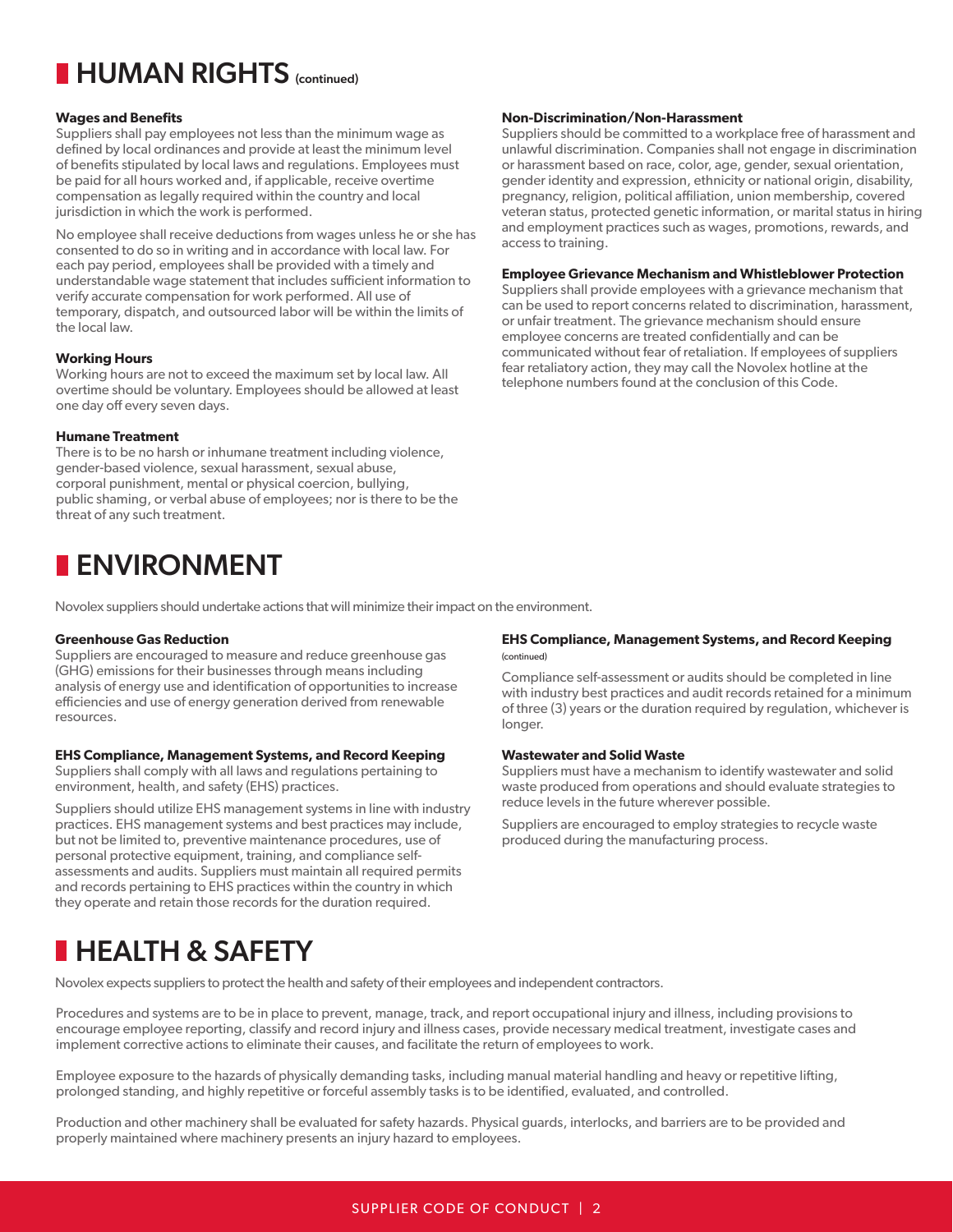# **HUMAN RIGHTS** (continued)

#### **Wages and Benefits**

Suppliers shall pay employees not less than the minimum wage as defined by local ordinances and provide at least the minimum level of benefits stipulated by local laws and regulations. Employees must be paid for all hours worked and, if applicable, receive overtime compensation as legally required within the country and local jurisdiction in which the work is performed.

No employee shall receive deductions from wages unless he or she has consented to do so in writing and in accordance with local law. For each pay period, employees shall be provided with a timely and understandable wage statement that includes sufficient information to verify accurate compensation for work performed. All use of temporary, dispatch, and outsourced labor will be within the limits of the local law.

#### **Working Hours**

Working hours are not to exceed the maximum set by local law. All overtime should be voluntary. Employees should be allowed at least one day off every seven days.

#### **Humane Treatment**

There is to be no harsh or inhumane treatment including violence, gender-based violence, sexual harassment, sexual abuse, corporal punishment, mental or physical coercion, bullying, public shaming, or verbal abuse of employees; nor is there to be the threat of any such treatment.

# **ENVIRONMENT**

Novolex suppliers should undertake actions that will minimize their impact on the environment.

#### **Greenhouse Gas Reduction**

Suppliers are encouraged to measure and reduce greenhouse gas (GHG) emissions for their businesses through means including analysis of energy use and identification of opportunities to increase efficiencies and use of energy generation derived from renewable resources.

# **EHS Compliance, Management Systems, and Record Keeping**

Suppliers shall comply with all laws and regulations pertaining to environment, health, and safety (EHS) practices.

Suppliers should utilize EHS management systems in line with industry practices. EHS management systems and best practices may include, but not be limited to, preventive maintenance procedures, use of personal protective equipment, training, and compliance selfassessments and audits. Suppliers must maintain all required permits and records pertaining to EHS practices within the country in which they operate and retain those records for the duration required.

#### **Non-Discrimination/Non-Harassment**

Suppliers should be committed to a workplace free of harassment and unlawful discrimination. Companies shall not engage in discrimination or harassment based on race, color, age, gender, sexual orientation, gender identity and expression, ethnicity or national origin, disability, pregnancy, religion, political affiliation, union membership, covered veteran status, protected genetic information, or marital status in hiring and employment practices such as wages, promotions, rewards, and access to training.

#### **Employee Grievance Mechanism and Whistleblower Protection**

Suppliers shall provide employees with a grievance mechanism that can be used to report concerns related to discrimination, harassment, or unfair treatment. The grievance mechanism should ensure employee concerns are treated confidentially and can be communicated without fear of retaliation. If employees of suppliers fear retaliatory action, they may call the Novolex hotline at the telephone numbers found at the conclusion of this Code.

#### **EHS Compliance, Management Systems, and Record Keeping** (continued)

Compliance self-assessment or audits should be completed in line with industry best practices and audit records retained for a minimum of three (3) years or the duration required by regulation, whichever is longer.

# **Wastewater and Solid Waste**

Suppliers must have a mechanism to identify wastewater and solid waste produced from operations and should evaluate strategies to reduce levels in the future wherever possible.

Suppliers are encouraged to employ strategies to recycle waste produced during the manufacturing process.

# **HEALTH & SAFETY**

Novolex expects suppliers to protect the health and safety of their employees and independent contractors.

Procedures and systems are to be in place to prevent, manage, track, and report occupational injury and illness, including provisions to encourage employee reporting, classify and record injury and illness cases, provide necessary medical treatment, investigate cases and implement corrective actions to eliminate their causes, and facilitate the return of employees to work.

Employee exposure to the hazards of physically demanding tasks, including manual material handling and heavy or repetitive lifting, prolonged standing, and highly repetitive or forceful assembly tasks is to be identified, evaluated, and controlled.

Production and other machinery shall be evaluated for safety hazards. Physical guards, interlocks, and barriers are to be provided and properly maintained where machinery presents an injury hazard to employees.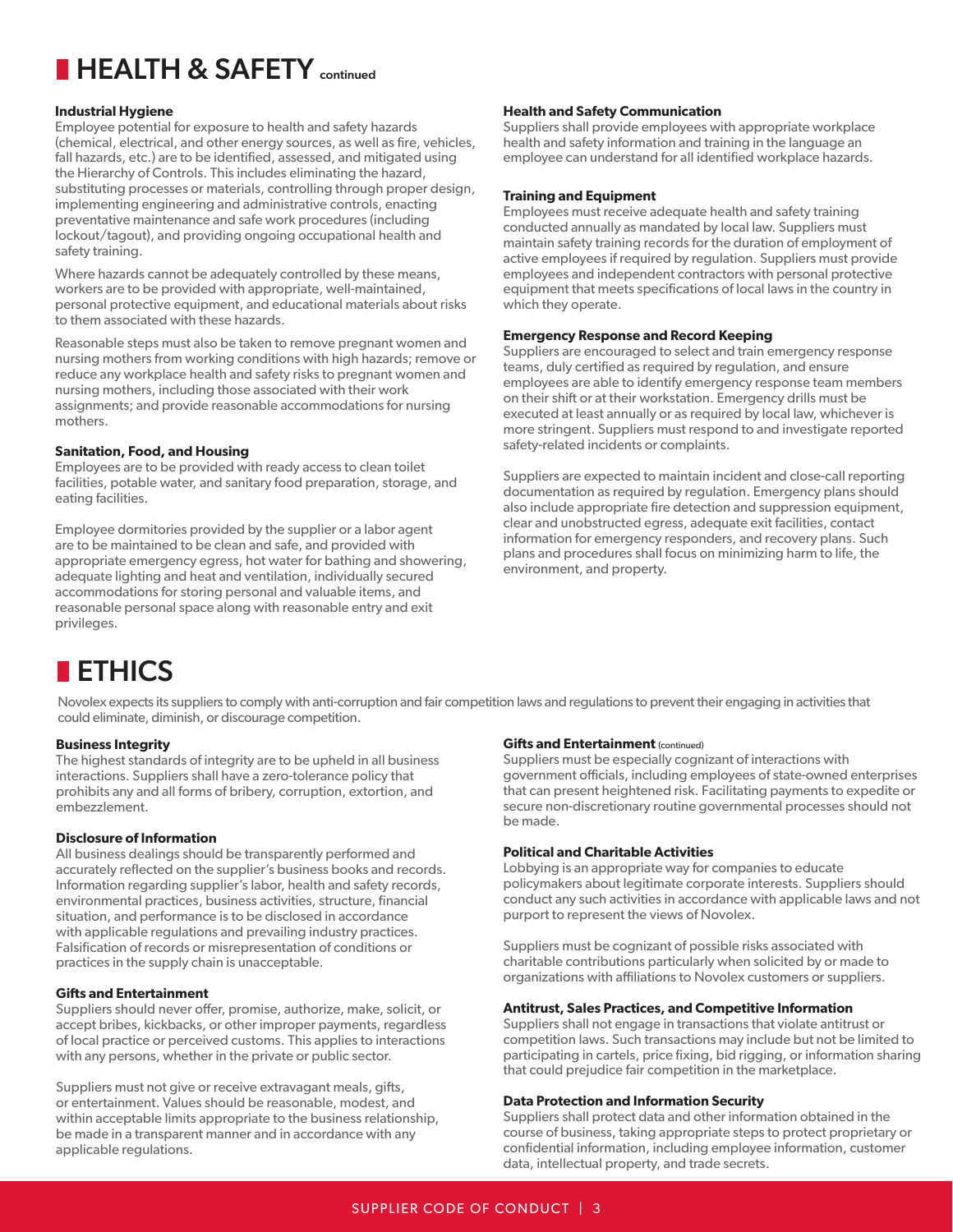# **HEALTH & SAFETY** continued

# **Industrial Hygiene**

Employee potential for exposure to health and safety hazards (chemical, electrical, and other energy sources, as well as fire, vehicles, fall hazards, etc.) are to be identified, assessed, and mitigated using the Hierarchy of Controls. This includes eliminating the hazard, substituting processes or materials, controlling through proper design, implementing engineering and administrative controls, enacting preventative maintenance and safe work procedures (including lockout/tagout), and providing ongoing occupational health and safety training.

Where hazards cannot be adequately controlled by these means, workers are to be provided with appropriate, well-maintained, personal protective equipment, and educational materials about risks to them associated with these hazards.

Reasonable steps must also be taken to remove pregnant women and nursing mothers from working conditions with high hazards; remove or reduce any workplace health and safety risks to pregnant women and nursing mothers, including those associated with their work assignments; and provide reasonable accommodations for nursing mothers.

# **Sanitation, Food, and Housing**

Employees are to be provided with ready access to clean toilet facilities, potable water, and sanitary food preparation, storage, and eating facilities.

Employee dormitories provided by the supplier or a labor agent are to be maintained to be clean and safe, and provided with appropriate emergency egress, hot water for bathing and showering, adequate lighting and heat and ventilation, individually secured accommodations for storing personal and valuable items, and reasonable personal space along with reasonable entry and exit privileges.

# **Health and Safety Communication**

Suppliers shall provide employees with appropriate workplace health and safety information and training in the language an employee can understand for all identified workplace hazards.

# **Training and Equipment**

Employees must receive adequate health and safety training conducted annually as mandated by local law. Suppliers must maintain safety training records for the duration of employment of active employees if required by regulation. Suppliers must provide employees and independent contractors with personal protective equipment that meets specifications of local laws in the country in which they operate.

# **Emergency Response and Record Keeping**

Suppliers are encouraged to select and train emergency response teams, duly certified as required by regulation, and ensure employees are able to identify emergency response team members on their shift or at their workstation. Emergency drills must be executed at least annually or as required by local law, whichever is more stringent. Suppliers must respond to and investigate reported safety-related incidents or complaints.

Suppliers are expected to maintain incident and close-call reporting documentation as required by regulation. Emergency plans should also include appropriate fire detection and suppression equipment, clear and unobstructed egress, adequate exit facilities, contact information for emergency responders, and recovery plans. Such plans and procedures shall focus on minimizing harm to life, the environment, and property.

# **ETHICS**

Novolex expects its suppliers to comply with anti-corruption and fair competition laws and regulations to prevent their engaging in activities that could eliminate, diminish, or discourage competition.

# **Business Integrity**

The highest standards of integrity are to be upheld in all business interactions. Suppliers shall have a zero-tolerance policy that prohibits any and all forms of bribery, corruption, extortion, and embezzlement.

# **Disclosure of Information**

All business dealings should be transparently performed and accurately reflected on the supplier's business books and records. Information regarding supplier's labor, health and safety records, environmental practices, business activities, structure, financial situation, and performance is to be disclosed in accordance with applicable regulations and prevailing industry practices. Falsification of records or misrepresentation of conditions or practices in the supply chain is unacceptable.

# **Gifts and Entertainment**

Suppliers should never offer, promise, authorize, make, solicit, or accept bribes, kickbacks, or other improper payments, regardless of local practice or perceived customs. This applies to interactions with any persons, whether in the private or public sector.

Suppliers must not give or receive extravagant meals, gifts, or entertainment. Values should be reasonable, modest, and within acceptable limits appropriate to the business relationship, be made in a transparent manner and in accordance with any applicable regulations.

# **Gifts and Entertainment (continued)**

Suppliers must be especially cognizant of interactions with government officials, including employees of state-owned enterprises that can present heightened risk. Facilitating payments to expedite or secure non-discretionary routine governmental processes should not be made.

# **Political and Charitable Activities**

Lobbying is an appropriate way for companies to educate policymakers about legitimate corporate interests. Suppliers should conduct any such activities in accordance with applicable laws and not purport to represent the views of Novolex.

Suppliers must be cognizant of possible risks associated with charitable contributions particularly when solicited by or made to organizations with affiliations to Novolex customers or suppliers.

# **Antitrust, Sales Practices, and Competitive Information**

Suppliers shall not engage in transactions that violate antitrust or competition laws. Such transactions may include but not be limited to participating in cartels, price fixing, bid rigging, or information sharing that could prejudice fair competition in the marketplace.

# **Data Protection and Information Security**

Suppliers shall protect data and other information obtained in the course of business, taking appropriate steps to protect proprietary or confidential information, including employee information, customer data, intellectual property, and trade secrets.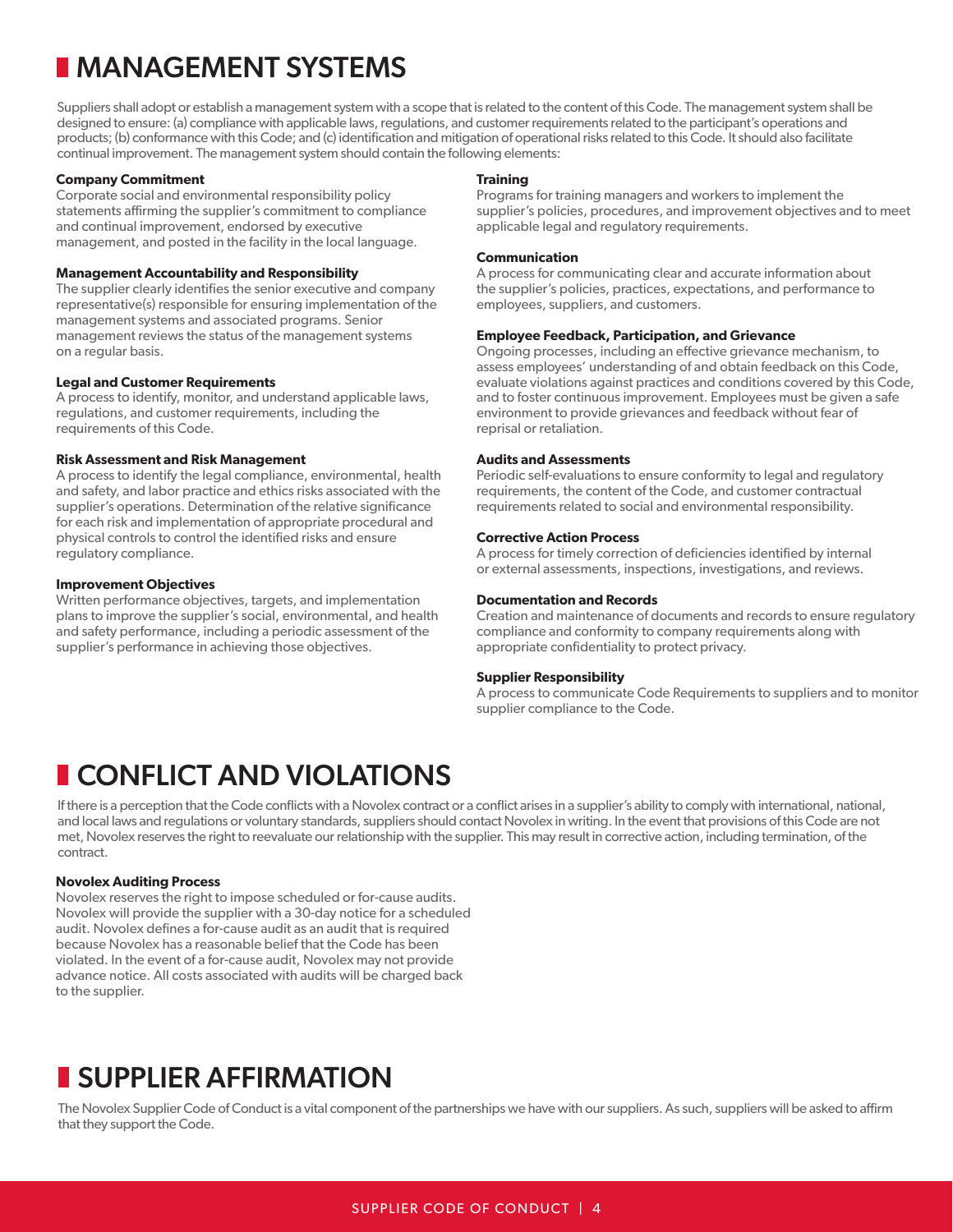# MANAGEMENT SYSTEMS

Suppliers shall adopt or establish a management system with a scope that is related to the content of this Code. The management system shall be designed to ensure: (a) compliance with applicable laws, regulations, and customer requirements related to the participant's operations and products; (b) conformance with this Code; and (c) identification and mitigation of operational risks related to this Code. It should also facilitate continual improvement. The management system should contain the following elements:

#### **Company Commitment**

Corporate social and environmental responsibility policy statements affirming the supplier's commitment to compliance and continual improvement, endorsed by executive management, and posted in the facility in the local language.

#### **Management Accountability and Responsibility**

The supplier clearly identifies the senior executive and company representative(s) responsible for ensuring implementation of the management systems and associated programs. Senior management reviews the status of the management systems on a regular basis.

#### **Legal and Customer Requirements**

A process to identify, monitor, and understand applicable laws, regulations, and customer requirements, including the requirements of this Code.

# **Risk Assessment and Risk Management**

A process to identify the legal compliance, environmental, health and safety, and labor practice and ethics risks associated with the supplier's operations. Determination of the relative significance for each risk and implementation of appropriate procedural and physical controls to control the identified risks and ensure regulatory compliance.

#### **Improvement Objectives**

Written performance objectives, targets, and implementation plans to improve the supplier's social, environmental, and health and safety performance, including a periodic assessment of the supplier's performance in achieving those objectives.

#### **Training**

Programs for training managers and workers to implement the supplier's policies, procedures, and improvement objectives and to meet applicable legal and regulatory requirements.

#### **Communication**

A process for communicating clear and accurate information about the supplier's policies, practices, expectations, and performance to employees, suppliers, and customers.

#### **Employee Feedback, Participation, and Grievance**

Ongoing processes, including an effective grievance mechanism, to assess employees' understanding of and obtain feedback on this Code, evaluate violations against practices and conditions covered by this Code, and to foster continuous improvement. Employees must be given a safe environment to provide grievances and feedback without fear of reprisal or retaliation.

#### **Audits and Assessments**

Periodic self-evaluations to ensure conformity to legal and regulatory requirements, the content of the Code, and customer contractual requirements related to social and environmental responsibility.

#### **Corrective Action Process**

A process for timely correction of deficiencies identified by internal or external assessments, inspections, investigations, and reviews.

#### **Documentation and Records**

Creation and maintenance of documents and records to ensure regulatory compliance and conformity to company requirements along with appropriate confidentiality to protect privacy.

#### **Supplier Responsibility**

A process to communicate Code Requirements to suppliers and to monitor supplier compliance to the Code.

# **CONFLICT AND VIOLATIONS**

If there is a perception that the Code conflicts with a Novolex contract or a conflict arises in a supplier's ability to comply with international, national, and local laws and regulations or voluntary standards, suppliers should contact Novolex in writing. In the event that provisions of this Code are not met, Novolex reserves the right to reevaluate our relationship with the supplier. This may result in corrective action, including termination, of the contract.

# **Novolex Auditing Process**

Novolex reserves the right to impose scheduled or for-cause audits. Novolex will provide the supplier with a 30-day notice for a scheduled audit. Novolex defines a for-cause audit as an audit that is required because Novolex has a reasonable belief that the Code has been violated. In the event of a for-cause audit, Novolex may not provide advance notice. All costs associated with audits will be charged back to the supplier.

# **SUPPLIER AFFIRMATION**

The Novolex Supplier Code of Conduct is a vital component of the partnerships we have with our suppliers. As such, suppliers will be asked to affirm that they support the Code.